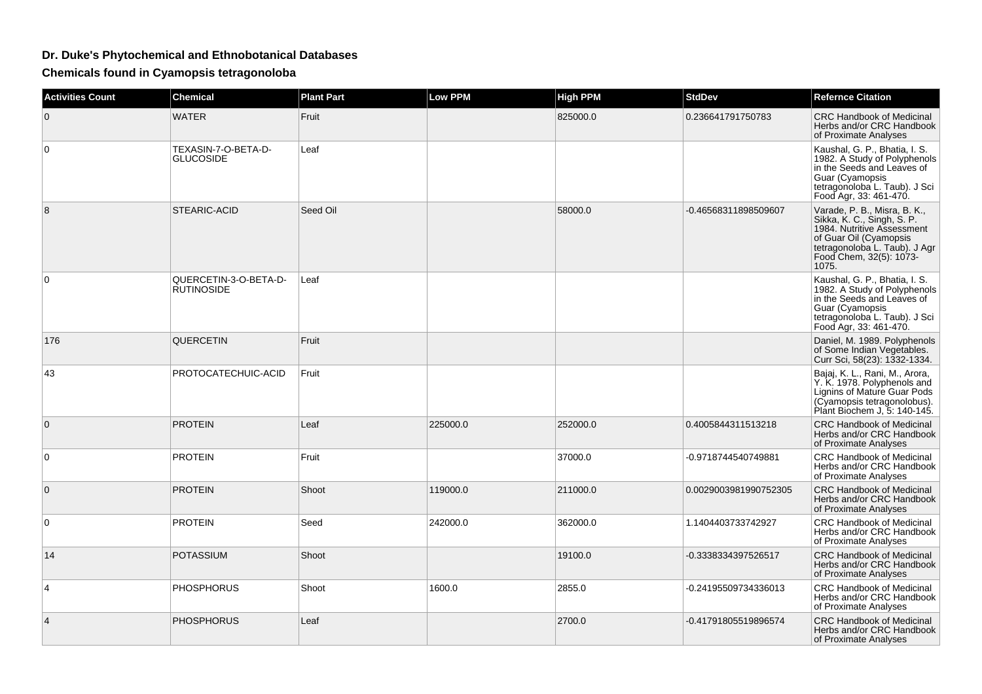## **Dr. Duke's Phytochemical and Ethnobotanical Databases**

**Chemicals found in Cyamopsis tetragonoloba**

| <b>Activities Count</b> | <b>Chemical</b>                            | <b>Plant Part</b> | <b>Low PPM</b> | <b>High PPM</b> | <b>StdDev</b>         | <b>Refernce Citation</b>                                                                                                                                                             |
|-------------------------|--------------------------------------------|-------------------|----------------|-----------------|-----------------------|--------------------------------------------------------------------------------------------------------------------------------------------------------------------------------------|
| $\mathbf{0}$            | <b>WATER</b>                               | Fruit             |                | 825000.0        | 0.236641791750783     | <b>CRC Handbook of Medicinal</b><br>Herbs and/or CRC Handbook<br>of Proximate Analyses                                                                                               |
| $\mathbf 0$             | TEXASIN-7-O-BETA-D-<br><b>GLUCOSIDE</b>    | Leaf              |                |                 |                       | Kaushal, G. P., Bhatia, I. S.<br>1982. A Study of Polyphenols<br>in the Seeds and Leaves of<br>Guar (Cyamopsis<br>tetragonoloba L. Taub). J Sci<br>Food Agr, 33: 461-470.            |
| 8                       | STEARIC-ACID                               | Seed Oil          |                | 58000.0         | -0.46568311898509607  | Varade, P. B., Misra, B. K., Sikka, K. C., Singh, S. P.<br>1984. Nutritive Assessment<br>of Guar Oil (Cyamopsis<br>tetragonoloba L. Taub). J Agr<br>Food Chem, 32(5): 1073-<br>1075. |
| $\mathbf 0$             | QUERCETIN-3-O-BETA-D-<br><b>RUTINOSIDE</b> | Leaf              |                |                 |                       | Kaushal, G. P., Bhatia, I. S.<br>1982. A Study of Polyphenols<br>in the Seeds and Leaves of<br>Guar (Cyamopsis<br>tetragonoloba L. Taub). J Sci<br>Food Agr, 33: 461-470.            |
| 176                     | <b>QUERCETIN</b>                           | Fruit             |                |                 |                       | Daniel, M. 1989. Polyphenols<br>of Some Indian Vegetables.<br>Curr Sci, 58(23): 1332-1334.                                                                                           |
| 43                      | PROTOCATECHUIC-ACID                        | Fruit             |                |                 |                       | Bajaj, K. L., Rani, M., Arora,<br>Y. K. 1978. Polyphenols and<br><b>Lignins of Mature Guar Pods</b><br>(Cyamopsis tetragonolobus).<br>Plant Biochem J, 5: 140-145.                   |
| $\mathbf 0$             | <b>PROTEIN</b>                             | Leaf              | 225000.0       | 252000.0        | 0.4005844311513218    | CRC Handbook of Medicinal<br>Herbs and/or CRC Handbook<br>of Proximate Analyses                                                                                                      |
| $\Omega$                | <b>PROTEIN</b>                             | Fruit             |                | 37000.0         | -0.9718744540749881   | <b>CRC Handbook of Medicinal</b><br>Herbs and/or CRC Handbook<br>of Proximate Analyses                                                                                               |
| $\mathbf{0}$            | <b>PROTEIN</b>                             | Shoot             | 119000.0       | 211000.0        | 0.0029003981990752305 | <b>CRC Handbook of Medicinal</b><br>Herbs and/or CRC Handbook<br>of Proximate Analyses                                                                                               |
| $\mathbf 0$             | <b>PROTEIN</b>                             | Seed              | 242000.0       | 362000.0        | 1.1404403733742927    | <b>CRC Handbook of Medicinal</b><br>Herbs and/or CRC Handbook<br>of Proximate Analyses                                                                                               |
| 14                      | <b>POTASSIUM</b>                           | Shoot             |                | 19100.0         | -0.3338334397526517   | <b>CRC Handbook of Medicinal</b><br>Herbs and/or CRC Handbook<br>of Proximate Analyses                                                                                               |
| 4                       | <b>PHOSPHORUS</b>                          | Shoot             | 1600.0         | 2855.0          | -0.24195509734336013  | <b>CRC Handbook of Medicinal</b><br>Herbs and/or CRC Handbook<br>of Proximate Analyses                                                                                               |
| 4                       | <b>PHOSPHORUS</b>                          | Leaf              |                | 2700.0          | -0.41791805519896574  | <b>CRC Handbook of Medicinal</b><br>Herbs and/or CRC Handbook<br>of Proximate Analyses                                                                                               |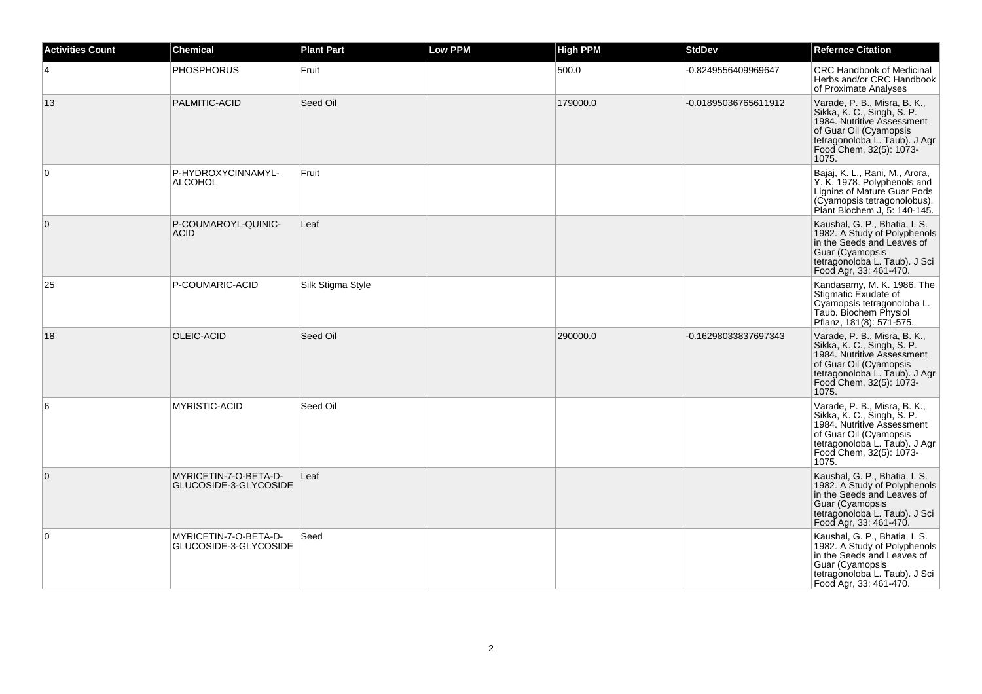| <b>Activities Count</b> | <b>Chemical</b>                                | <b>Plant Part</b> | <b>Low PPM</b> | <b>High PPM</b> | <b>StdDev</b>        | <b>Refernce Citation</b>                                                                                                                                                                |
|-------------------------|------------------------------------------------|-------------------|----------------|-----------------|----------------------|-----------------------------------------------------------------------------------------------------------------------------------------------------------------------------------------|
| 4                       | <b>PHOSPHORUS</b>                              | Fruit             |                | 500.0           | -0.8249556409969647  | <b>CRC Handbook of Medicinal</b><br>Herbs and/or CRC Handbook<br>of Proximate Analyses                                                                                                  |
| 13                      | PALMITIC-ACID                                  | Seed Oil          |                | 179000.0        | -0.01895036765611912 | Varade, P. B., Misra, B. K.,<br>Sikka, K. C., Singh, S. P.<br>1984. Nutritive Assessment<br>of Guar Oil (Cyamopsis<br>tetragonoloba L. Taub). J Agr<br>Food Chem, 32(5): 1073-<br>1075. |
| $\mathbf 0$             | P-HYDROXYCINNAMYL-<br><b>ALCOHOL</b>           | Fruit             |                |                 |                      | Bajaj, K. L., Rani, M., Arora,<br>Y. K. 1978. Polyphenols and<br>Lignins of Mature Guar Pods<br>(Cyamopsis tetragonolobus).<br>Plant Biochem J, 5: 140-145.                             |
| $\mathbf 0$             | P-COUMAROYL-QUINIC-<br><b>ACID</b>             | Leaf              |                |                 |                      | Kaushal, G. P., Bhatia, I. S.<br>1982. A Study of Polyphenols<br>in the Seeds and Leaves of<br>Guar (Cyamopsis<br>tetragonoloba L. Taub). J Sci<br>Food Agr, 33: 461-470.               |
| 25                      | P-COUMARIC-ACID                                | Silk Stigma Style |                |                 |                      | Kandasamy, M. K. 1986. The<br>Stigmatic Exudate of<br>Cyamopsis tetragonoloba L.<br>Taub. Biochem Physiol<br>Pflanz, 181(8): 571-575.                                                   |
| 18                      | OLEIC-ACID                                     | Seed Oil          |                | 290000.0        | -0.16298033837697343 | Varade, P. B., Misra, B. K.,<br>Sikka, K. C., Singh, S. P.<br>1984. Nutritive Assessment<br>of Guar Oil (Cyamopsis<br>tetragonoloba L. Taub). J Agr<br>Food Chem, 32(5): 1073-<br>1075. |
| 6                       | <b>MYRISTIC-ACID</b>                           | Seed Oil          |                |                 |                      | Varade, P. B., Misra, B. K.,<br>Sikka, K. C., Singh, S. P.<br>1984. Nutritive Assessment<br>of Guar Oil (Cyamopsis<br>tetragonoloba L. Taub). J Agr<br>Food Chem, 32(5): 1073-<br>1075. |
| $\mathbf{0}$            | MYRICETIN-7-O-BETA-D-<br>GLUCOSIDE-3-GLYCOSIDE | Leaf              |                |                 |                      | Kaushal, G. P., Bhatia, I. S.<br>1982. A Study of Polyphenols<br>in the Seeds and Leaves of<br>Guar (Cyamopsis<br>tetragonoloba L. Taub). J Sci<br>Food Agr, 33: 461-470.               |
| $\Omega$                | MYRICETIN-7-O-BETA-D-<br>GLUCOSIDE-3-GLYCOSIDE | Seed              |                |                 |                      | Kaushal, G. P., Bhatia, I. S.<br>1982. A Study of Polyphenols<br>in the Seeds and Leaves of<br>Guar (Cyamopsis<br>tetragonoloba L. Taub). J Sci<br>Food Agr, 33: 461-470.               |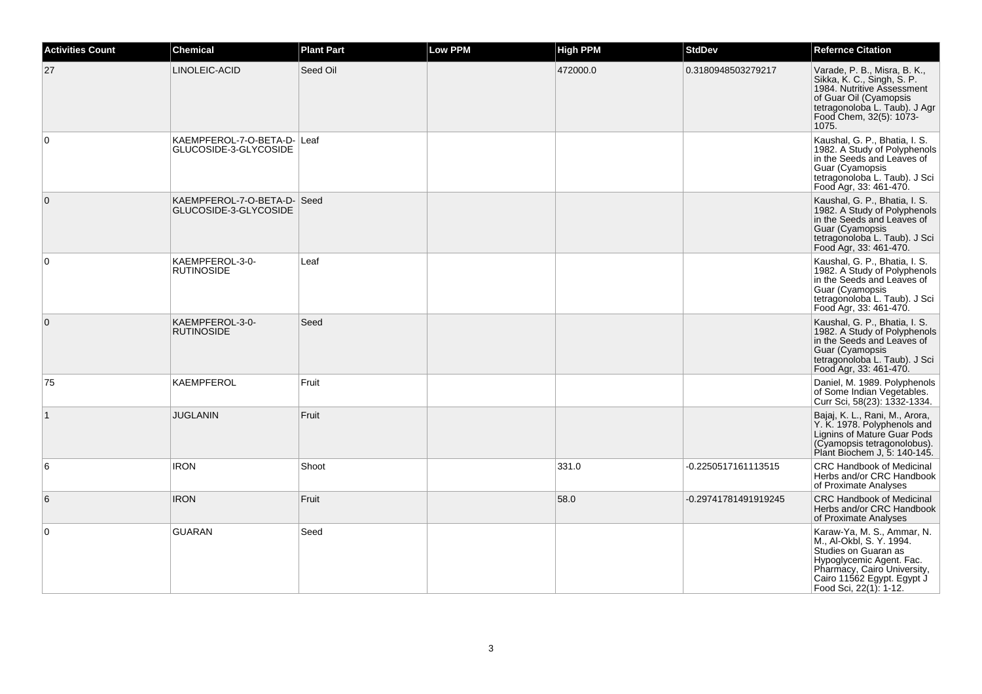| <b>Activities Count</b> | <b>Chemical</b>                                      | <b>Plant Part</b> | <b>Low PPM</b> | <b>High PPM</b> | <b>StdDev</b>        | <b>Refernce Citation</b>                                                                                                                                                                          |
|-------------------------|------------------------------------------------------|-------------------|----------------|-----------------|----------------------|---------------------------------------------------------------------------------------------------------------------------------------------------------------------------------------------------|
| 27                      | LINOLEIC-ACID                                        | Seed Oil          |                | 472000.0        | 0.3180948503279217   | Varade, P. B., Misra, B. K.,<br>Sikka, K. C., Singh, S. P.<br>1984. Nutritive Assessment<br>of Guar Oil (Cyamopsis<br>tetragonoloba L. Taub). J Agr<br>Food Chem, 32(5): 1073-<br>1075.           |
| $\mathbf 0$             | KAEMPFEROL-7-O-BETA-D- Leaf<br>GLUCOSIDE-3-GLYCOSIDE |                   |                |                 |                      | Kaushal, G. P., Bhatia, I. S.<br>1982. A Study of Polyphenols<br>in the Seeds and Leaves of<br>Guar (Cyamopsis<br>tetragonoloba L. Taub). J Sci<br>Food Agr, 33: 461-470.                         |
| $\mathbf{0}$            | KAEMPFEROL-7-O-BETA-D- Seed<br>GLUCOSIDE-3-GLYCOSIDE |                   |                |                 |                      | Kaushal, G. P., Bhatia, I. S.<br>1982. A Study of Polyphenols<br>in the Seeds and Leaves of<br>Guar (Cyamopsis<br>tetragonoloba L. Taub). J Sci<br>Food Agr, 33: 461-470.                         |
| $\mathbf 0$             | KAEMPFEROL-3-0-<br><b>RUTINOSIDE</b>                 | Leaf              |                |                 |                      | Kaushal, G. P., Bhatia, I. S.<br>1982. A Study of Polyphenols<br>in the Seeds and Leaves of<br>Guar (Cyamopsis<br>tetragonoloba L. Taub). J Sci<br>Food Agr, 33: 461-470.                         |
| $\mathbf{0}$            | KAEMPFEROL-3-0-<br><b>RUTINOSIDE</b>                 | Seed              |                |                 |                      | Kaushal, G. P., Bhatia, I. S.<br>1982. A Study of Polyphenols<br>in the Seeds and Leaves of<br>Guar (Cyamopsis<br>tetragonoloba L. Taub). J Sci<br>Food Agr, 33: 461-470.                         |
| 75                      | <b>KAEMPFEROL</b>                                    | Fruit             |                |                 |                      | Daniel, M. 1989. Polyphenols<br>of Some Indian Vegetables.<br>Curr Sci, 58(23): 1332-1334.                                                                                                        |
| $\mathbf{1}$            | <b>JUGLANIN</b>                                      | Fruit             |                |                 |                      | Bajaj, K. L., Rani, M., Arora,<br>Y. K. 1978. Polyphenols and<br>Lignins of Mature Guar Pods<br>(Cyamopsis tetragonolobus).<br>Plant Biochem J, 5: 140-145.                                       |
| 6                       | <b>IRON</b>                                          | Shoot             |                | 331.0           | -0.2250517161113515  | <b>CRC Handbook of Medicinal</b><br>Herbs and/or CRC Handbook<br>of Proximate Analyses                                                                                                            |
| 6                       | <b>IRON</b>                                          | Fruit             |                | 58.0            | -0.29741781491919245 | <b>CRC Handbook of Medicinal</b><br>Herbs and/or CRC Handbook<br>of Proximate Analyses                                                                                                            |
| $\Omega$                | <b>GUARAN</b>                                        | Seed              |                |                 |                      | Karaw-Ya, M. S., Ammar, N.<br>M., Al-Okbl, S. Y. 1994.<br>Studies on Guaran as<br>Hypoglycemic Agent. Fac.<br>Pharmacy, Cairo University,<br>Cairo 11562 Egypt. Egypt J<br>Food Sci, 22(1): 1-12. |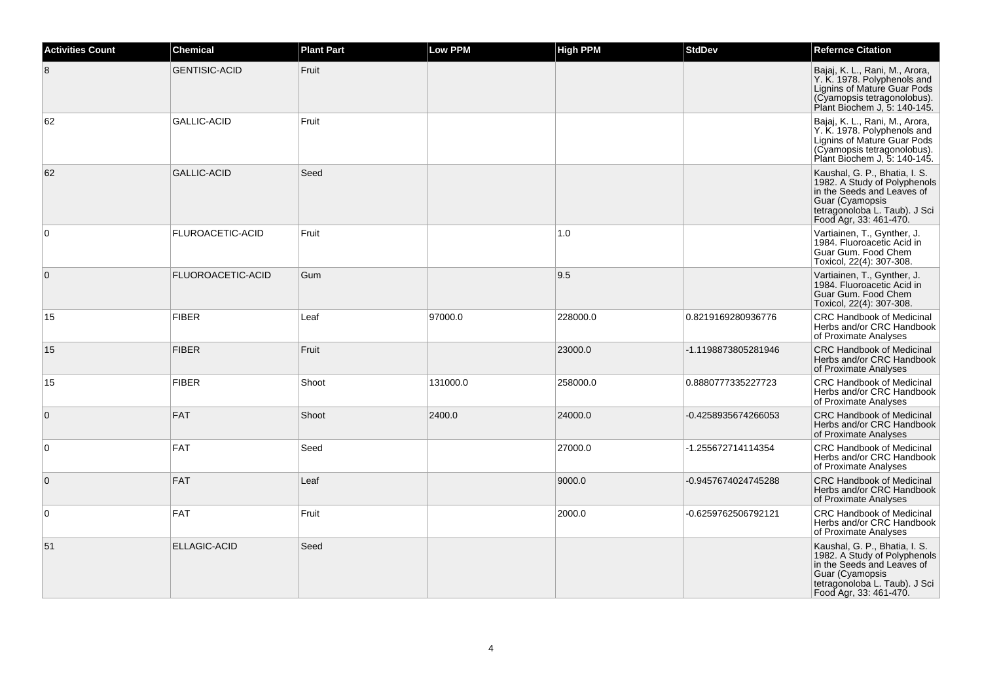| <b>Activities Count</b> | <b>Chemical</b>          | <b>Plant Part</b> | <b>Low PPM</b> | <b>High PPM</b> | <b>StdDev</b>       | <b>Refernce Citation</b>                                                                                                                                                  |
|-------------------------|--------------------------|-------------------|----------------|-----------------|---------------------|---------------------------------------------------------------------------------------------------------------------------------------------------------------------------|
| 8                       | <b>GENTISIC-ACID</b>     | Fruit             |                |                 |                     | Bajaj, K. L., Rani, M., Arora,<br>Y. K. 1978. Polyphenols and<br><b>Lignins of Mature Guar Pods</b><br>(Cyamopsis tetragonolobus).<br>Plant Biochem J, 5: 140-145.        |
| 62                      | <b>GALLIC-ACID</b>       | Fruit             |                |                 |                     | Bajaj, K. L., Rani, M., Arora,<br>Y. K. 1978. Polyphenols and<br>Lignins of Mature Guar Pods<br>(Cyamopsis tetragonolobus).<br>Plant Biochem J, 5: 140-145.               |
| 62                      | <b>GALLIC-ACID</b>       | Seed              |                |                 |                     | Kaushal, G. P., Bhatia, I. S.<br>1982. A Study of Polyphenols<br>in the Seeds and Leaves of<br>Guar (Cyamopsis<br>tetragonoloba L. Taub). J Sci<br>Food Agr, 33: 461-470. |
| $\mathbf 0$             | FLUROACETIC-ACID         | Fruit             |                | 1.0             |                     | Vartiainen, T., Gynther, J.<br>1984. Fluoroacetic Acid in<br>Guar Gum. Food Chem<br>Toxicol, 22(4): 307-308.                                                              |
| $\mathbf{0}$            | <b>FLUOROACETIC-ACID</b> | Gum               |                | 9.5             |                     | Vartiainen, T., Gynther, J.<br>1984. Fluoroacetic Acid in<br>Guar Gum, Food Chem<br>Toxicol, 22(4): 307-308.                                                              |
| 15                      | <b>FIBER</b>             | Leaf              | 97000.0        | 228000.0        | 0.8219169280936776  | <b>CRC Handbook of Medicinal</b><br>Herbs and/or CRC Handbook<br>of Proximate Analyses                                                                                    |
| 15                      | <b>FIBER</b>             | Fruit             |                | 23000.0         | -1.1198873805281946 | <b>CRC Handbook of Medicinal</b><br>Herbs and/or CRC Handbook<br>of Proximate Analyses                                                                                    |
| 15                      | <b>FIBER</b>             | Shoot             | 131000.0       | 258000.0        | 0.8880777335227723  | <b>CRC Handbook of Medicinal</b><br>Herbs and/or CRC Handbook<br>of Proximate Analyses                                                                                    |
| $\mathbf 0$             | <b>FAT</b>               | Shoot             | 2400.0         | 24000.0         | -0.4258935674266053 | <b>CRC Handbook of Medicinal</b><br>Herbs and/or CRC Handbook<br>of Proximate Analyses                                                                                    |
| 0                       | <b>FAT</b>               | Seed              |                | 27000.0         | -1.255672714114354  | <b>CRC Handbook of Medicinal</b><br>Herbs and/or CRC Handbook<br>of Proximate Analyses                                                                                    |
| $\overline{0}$          | <b>FAT</b>               | Leaf              |                | 9000.0          | -0.9457674024745288 | <b>CRC Handbook of Medicinal</b><br>Herbs and/or CRC Handbook<br>of Proximate Analyses                                                                                    |
| 0                       | <b>FAT</b>               | Fruit             |                | 2000.0          | -0.6259762506792121 | <b>CRC Handbook of Medicinal</b><br>Herbs and/or CRC Handbook<br>of Proximate Analyses                                                                                    |
| 51                      | <b>ELLAGIC-ACID</b>      | Seed              |                |                 |                     | Kaushal, G. P., Bhatia, I. S.<br>1982. A Study of Polyphenols<br>in the Seeds and Leaves of<br>Guar (Cyamopsis<br>tetragonoloba L. Taub). J Sci<br>Food Agr, 33: 461-470. |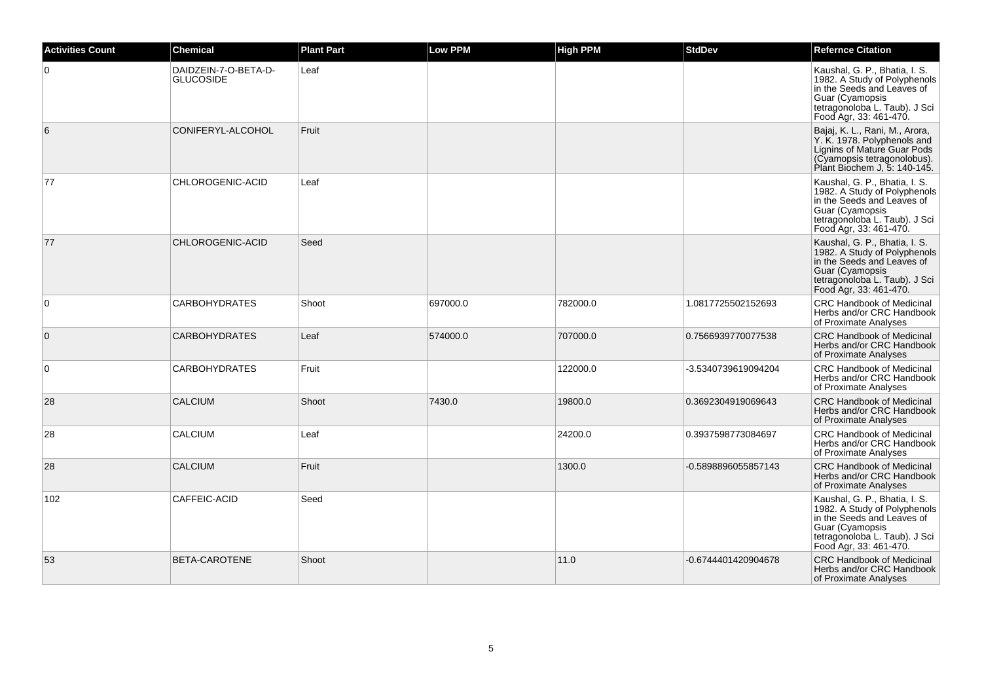| <b>Activities Count</b> | <b>Chemical</b>                          | <b>Plant Part</b> | <b>Low PPM</b> | <b>High PPM</b> | <b>StdDev</b>       | <b>Refernce Citation</b>                                                                                                                                                  |
|-------------------------|------------------------------------------|-------------------|----------------|-----------------|---------------------|---------------------------------------------------------------------------------------------------------------------------------------------------------------------------|
| 0                       | DAIDZEIN-7-O-BETA-D-<br><b>GLUCOSIDE</b> | Leaf              |                |                 |                     | Kaushal, G. P., Bhatia, I. S.<br>1982. A Study of Polyphenols<br>in the Seeds and Leaves of<br>Guar (Cyamopsis<br>tetragonoloba L. Taub). J Sci<br>Food Agr, 33: 461-470. |
| 6                       | CONIFERYL-ALCOHOL                        | Fruit             |                |                 |                     | Bajaj, K. L., Rani, M., Arora,<br>Y. K. 1978. Polyphenols and<br>Lignins of Mature Guar Pods<br>(Cyamopsis tetragonolobus).<br>Plant Biochem J, 5: 140-145.               |
| 77                      | CHLOROGENIC-ACID                         | Leaf              |                |                 |                     | Kaushal, G. P., Bhatia, I. S.<br>1982. A Study of Polyphenols<br>in the Seeds and Leaves of<br>Guar (Cyamopsis<br>tetragonoloba L. Taub). J Sci<br>Food Agr, 33: 461-470. |
| 77                      | CHLOROGENIC-ACID                         | Seed              |                |                 |                     | Kaushal, G. P., Bhatia, I. S.<br>1982. A Study of Polyphenols<br>in the Seeds and Leaves of<br>Guar (Cyamopsis<br>tetragonoloba L. Taub). J Sci<br>Food Agr, 33: 461-470. |
| 0                       | <b>CARBOHYDRATES</b>                     | Shoot             | 697000.0       | 782000.0        | 1.0817725502152693  | <b>CRC Handbook of Medicinal</b><br>Herbs and/or CRC Handbook<br>of Proximate Analyses                                                                                    |
| $\overline{0}$          | <b>CARBOHYDRATES</b>                     | Leaf              | 574000.0       | 707000.0        | 0.7566939770077538  | <b>CRC Handbook of Medicinal</b><br>Herbs and/or CRC Handbook<br>of Proximate Analyses                                                                                    |
| $\overline{0}$          | <b>CARBOHYDRATES</b>                     | Fruit             |                | 122000.0        | -3.5340739619094204 | <b>CRC Handbook of Medicinal</b><br>Herbs and/or CRC Handbook<br>of Proximate Analyses                                                                                    |
| 28                      | <b>CALCIUM</b>                           | Shoot             | 7430.0         | 19800.0         | 0.3692304919069643  | <b>CRC Handbook of Medicinal</b><br>Herbs and/or CRC Handbook<br>of Proximate Analyses                                                                                    |
| 28                      | <b>CALCIUM</b>                           | Leaf              |                | 24200.0         | 0.3937598773084697  | <b>CRC Handbook of Medicinal</b><br>Herbs and/or CRC Handbook<br>of Proximate Analyses                                                                                    |
| 28                      | <b>CALCIUM</b>                           | Fruit             |                | 1300.0          | -0.5898896055857143 | <b>CRC Handbook of Medicinal</b><br>Herbs and/or CRC Handbook<br>of Proximate Analyses                                                                                    |
| 102                     | CAFFEIC-ACID                             | Seed              |                |                 |                     | Kaushal, G. P., Bhatia, I. S.<br>1982. A Study of Polyphenols<br>in the Seeds and Leaves of<br>Guar (Cyamopsis<br>tetragonoloba L. Taub). J Sci<br>Food Agr, 33: 461-470. |
| 53                      | BETA-CAROTENE                            | Shoot             |                | 11.0            | -0.6744401420904678 | <b>CRC Handbook of Medicinal</b><br>Herbs and/or CRC Handbook<br>of Proximate Analyses                                                                                    |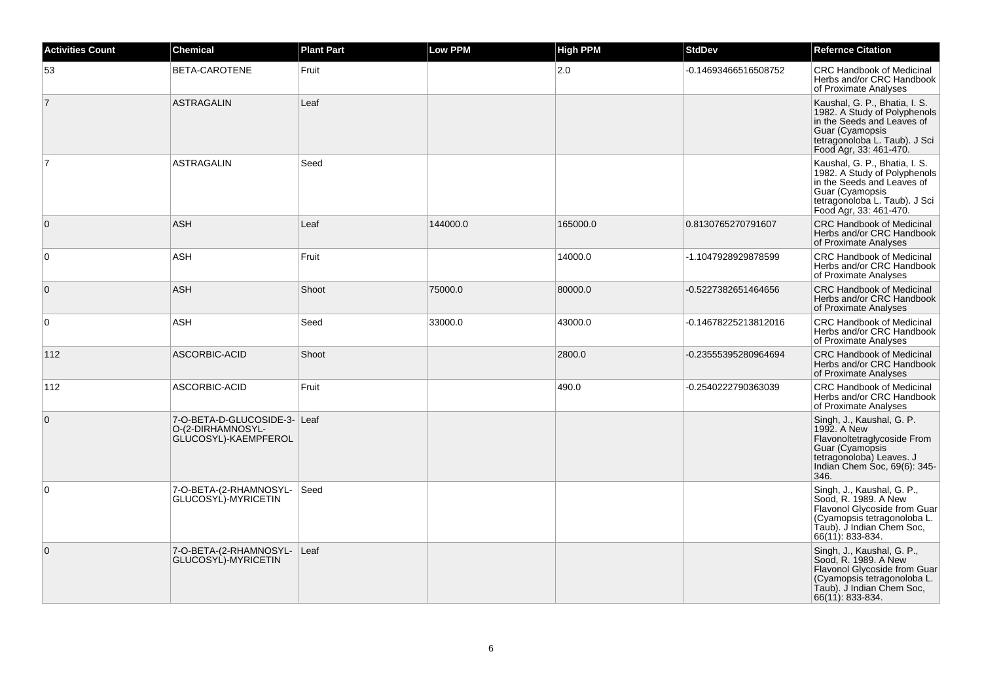| <b>Activities Count</b> | <b>Chemical</b>                                                           | <b>Plant Part</b> | <b>Low PPM</b> | <b>High PPM</b> | <b>StdDev</b>        | <b>Refernce Citation</b>                                                                                                                                                  |
|-------------------------|---------------------------------------------------------------------------|-------------------|----------------|-----------------|----------------------|---------------------------------------------------------------------------------------------------------------------------------------------------------------------------|
| 53                      | BETA-CAROTENE                                                             | Fruit             |                | 2.0             | -0.14693466516508752 | <b>CRC Handbook of Medicinal</b><br>Herbs and/or CRC Handbook<br>of Proximate Analyses                                                                                    |
| $\overline{7}$          | <b>ASTRAGALIN</b>                                                         | Leaf              |                |                 |                      | Kaushal, G. P., Bhatia, I. S.<br>1982. A Study of Polyphenols<br>in the Seeds and Leaves of<br>Guar (Cyamopsis<br>tetragonoloba L. Taub). J Sci<br>Food Agr, 33: 461-470. |
| $\overline{7}$          | <b>ASTRAGALIN</b>                                                         | Seed              |                |                 |                      | Kaushal, G. P., Bhatia, I. S.<br>1982. A Study of Polyphenols<br>in the Seeds and Leaves of<br>Guar (Cyamopsis<br>tetragonoloba L. Taub). J Sci<br>Food Agr, 33: 461-470. |
| $\overline{0}$          | <b>ASH</b>                                                                | Leaf              | 144000.0       | 165000.0        | 0.8130765270791607   | <b>CRC Handbook of Medicinal</b><br>Herbs and/or CRC Handbook<br>of Proximate Analyses                                                                                    |
| $\overline{0}$          | ASH                                                                       | Fruit             |                | 14000.0         | -1.1047928929878599  | <b>CRC Handbook of Medicinal</b><br>Herbs and/or CRC Handbook<br>of Proximate Analyses                                                                                    |
| $\overline{0}$          | <b>ASH</b>                                                                | Shoot             | 75000.0        | 80000.0         | -0.5227382651464656  | <b>CRC Handbook of Medicinal</b><br>Herbs and/or CRC Handbook<br>of Proximate Analyses                                                                                    |
| $\overline{0}$          | <b>ASH</b>                                                                | Seed              | 33000.0        | 43000.0         | -0.14678225213812016 | <b>CRC Handbook of Medicinal</b><br>Herbs and/or CRC Handbook<br>of Proximate Analyses                                                                                    |
| 112                     | ASCORBIC-ACID                                                             | Shoot             |                | 2800.0          | -0.23555395280964694 | <b>CRC Handbook of Medicinal</b><br>Herbs and/or CRC Handbook<br>of Proximate Analyses                                                                                    |
| 112                     | ASCORBIC-ACID                                                             | Fruit             |                | 490.0           | -0.2540222790363039  | CRC Handbook of Medicinal<br>Herbs and/or CRC Handbook<br>of Proximate Analyses                                                                                           |
| $\overline{0}$          | 7-O-BETA-D-GLUCOSIDE-3- Leaf<br>O-(2-DIRHAMNOSYL-<br>GLUCOSYL)-KAEMPFEROL |                   |                |                 |                      | Singh, J., Kaushal, G. P.<br>1992. A New<br>Flavonoltetraglycoside From<br>Guar (Cyamopsis<br>tetragonoloba) Leaves. J<br>Indian Chem Soc, 69(6): 345-<br>346.            |
| $\overline{0}$          | 7-O-BETA-(2-RHAMNOSYL- Seed<br>GLUCOSYL)-MYRICETIN                        |                   |                |                 |                      | Singh, J., Kaushal, G. P.,<br>Sood, R. 1989. A New<br>Flavonol Glycoside from Guar<br>(Cyamopsis tetragonoloba L.<br>Taub). J Indian Chem Soc,<br>66(11): 833-834.        |
| $\overline{0}$          | 7-O-BETA-(2-RHAMNOSYL- Leaf<br>GLUCOSYL)-MYRICETIN                        |                   |                |                 |                      | Singh, J., Kaushal, G. P.,<br>Sood, R. 1989. A New<br>Flavonol Glycoside from Guar<br>(Cyamopsis tetragonoloba L.<br>Taub). J Indian Chem Soc,<br>66(11): 833-834.        |